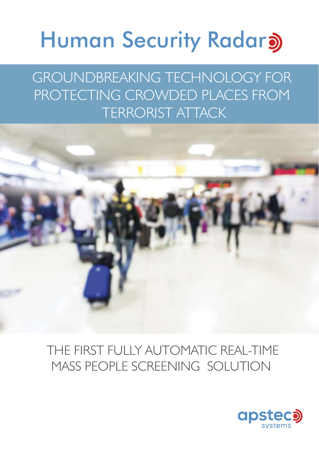# **Human Security Radara**

GROUNDBREAKING TECHNOLOGY FOR PROTECTING CROWDED PLACES FROM TERRORIST ATTACK



### THE FIRST FULLY AUTOMATIC REAL-TIME MASS PEOPLE SCREENING SOLUTION

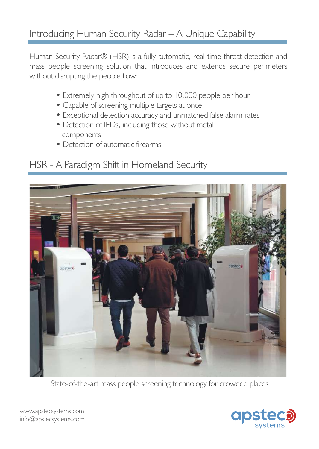#### Introducing Human Security Radar – A Unique Capability

Human Security Radar® (HSR) is a fully automatic, real-time threat detection and mass people screening solution that introduces and extends secure perimeters without disrupting the people flow:

- Extremely high throughput of up to 10,000 people per hour
- Capable of screening multiple targets at once
- Exceptional detection accuracy and unmatched false alarm rates
- Detection of IEDs, including those without metal components
- Detection of automatic firearms

#### HSR - A Paradigm Shift in Homeland Security



State-of-the-art mass people screening technology for crowded places

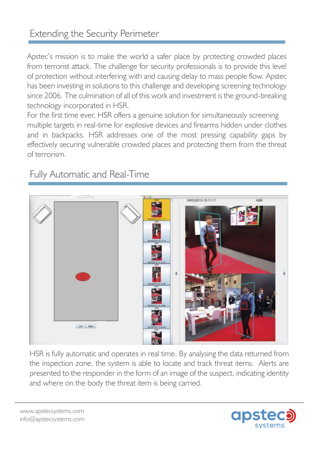#### Extending the Security Perimeter

Apstec's mission is to make the world a safer place by protecting crowded places from terrorist attack. The challenge for security professionals is to provide this level of protection without interfering with and causing delay to mass people flow. Apstec has been investing in solutions to this challenge and developing screening technology since 2006. The culmination of all of this work and investment is the ground-breaking technology incorporated in HSR.

For the first time ever, HSR offers a genuine solution for simultaneously screening multiple targets in real-time for explosive devices and firearms hidden under clothes and in backpacks. HSR addresses one of the most pressing capability gaps by effectively securing vulnerable crowded places and protecting them from the threat of terrorism.

#### Fully Automatic and Real-Time



HSR is fully automatic and operates in real time. By analysing the data returned from the inspection zone, the system is able to locate and track threat items. Alerts are presented to the responder in the form of an image of the suspect, indicating identity and where on the body the threat item is being carried.

www.apstecsystems.com info@apstecsystems.com

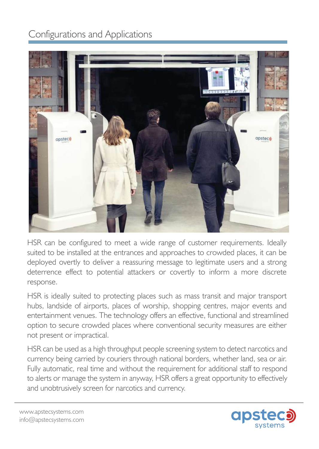#### Configurations and Applications



HSR can be configured to meet a wide range of customer requirements. Ideally suited to be installed at the entrances and approaches to crowded places, it can be deployed overtly to deliver a reassuring message to legitimate users and a strong deterrence effect to potential attackers or covertly to inform a more discrete response.

HSR is ideally suited to protecting places such as mass transit and major transport hubs, landside of airports, places of worship, shopping centres, major events and entertainment venues. The technology offers an effective, functional and streamlined option to secure crowded places where conventional security measures are either not present or impractical.

HSR can be used as a high throughput people screening system to detect narcotics and currency being carried by couriers through national borders, whether land, sea or air. Fully automatic, real time and without the requirement for additional staff to respond to alerts or manage the system in anyway, HSR offers a great opportunity to effectively and unobtrusively screen for narcotics and currency.

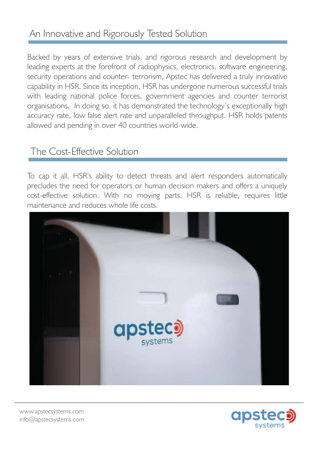#### An Innovative and Rigorously Tested Solution

Backed by years of extensive trials, and rigorous research and development by leading experts at the forefront of radiophysics, electronics, software engineering, security operations and counter- terrorism, Apstec has delivered a truly innovative capability in HSR. Since its inception, HSR has undergone numerous successful trials with leading national police forces, government agencies and counter terrorist organisations. In doing so, it has demonstrated the technology's exceptionally high accuracy rate, low false alert rate and unparalleled throughput. HSR holds patents allowed and pending in over 40 countries world-wide.

#### The Cost-Effective Solution

To cap it all, HSR's ability to detect threats and alert responders automatically precludes the need for operators or human decision makers and offers a uniquely cost-effective solution. With no moving parts, HSR is reliable, requires little maintenance and reduces whole life costs.



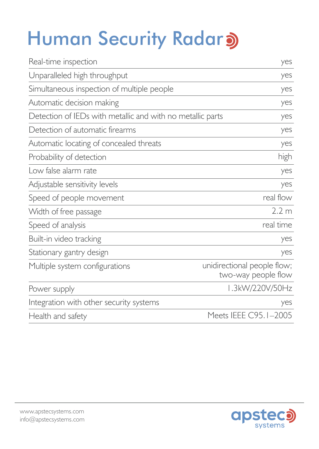## **Human Security Radar)**

| Real-time inspection                                       | yes                                                |
|------------------------------------------------------------|----------------------------------------------------|
| Unparalleled high throughput                               | yes                                                |
| Simultaneous inspection of multiple people                 | yes                                                |
| Automatic decision making                                  | yes                                                |
| Detection of IEDs with metallic and with no metallic parts | yes                                                |
| Detection of automatic firearms                            | yes                                                |
| Automatic locating of concealed threats                    | yes                                                |
| Probability of detection                                   | high                                               |
| Low false alarm rate                                       | yes                                                |
| Adjustable sensitivity levels                              | yes                                                |
| Speed of people movement                                   | real flow                                          |
| Width of free passage                                      | 2.2 <sub>m</sub>                                   |
| Speed of analysis                                          | real time                                          |
| Built-in video tracking                                    | yes                                                |
| Stationary gantry design                                   | yes                                                |
| Multiple system configurations                             | unidirectional people flow;<br>two-way people flow |
| Power supply                                               | 1.3kW/220V/50Hz                                    |
| Integration with other security systems                    | yes                                                |
| Health and safety                                          | Meets IEEE C95.1-2005                              |
|                                                            |                                                    |